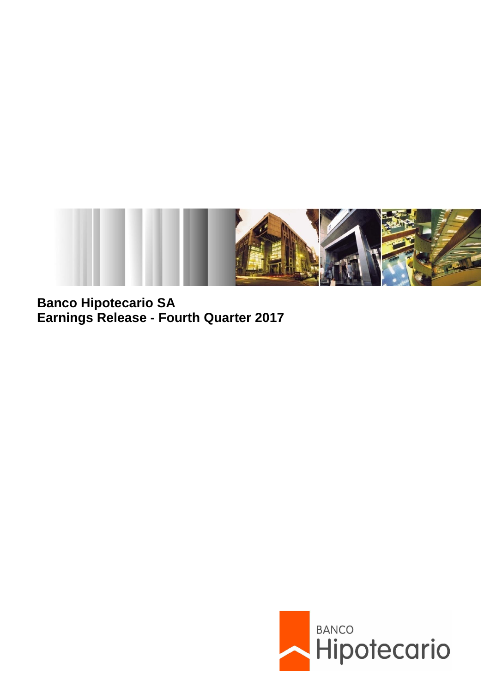

**Banco Hipotecario SA Earnings Release - Fourth Quarter 2017**

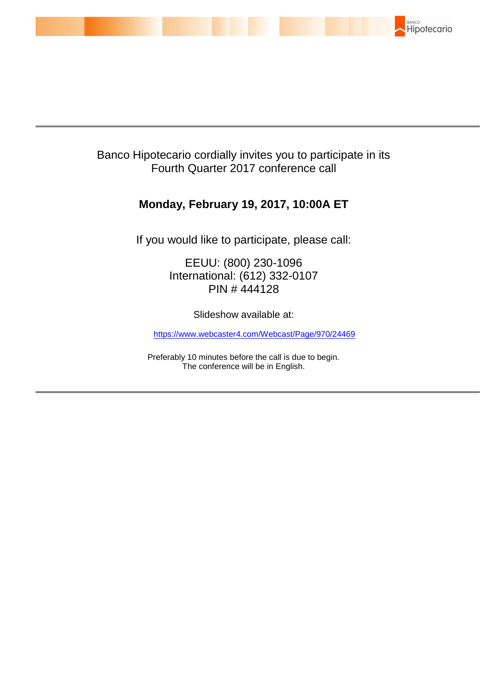

# Banco Hipotecario cordially invites you to participate in its Fourth Quarter 2017 conference call

# **Monday, February 19, 2017, 10:00A ET**

If you would like to participate, please call:

EEUU: (800) 230-1096 International: (612) 332-0107 PIN # 444128

Slideshow available at:

<https://www.webcaster4.com/Webcast/Page/970/24469>

Preferably 10 minutes before the call is due to begin. The conference will be in English.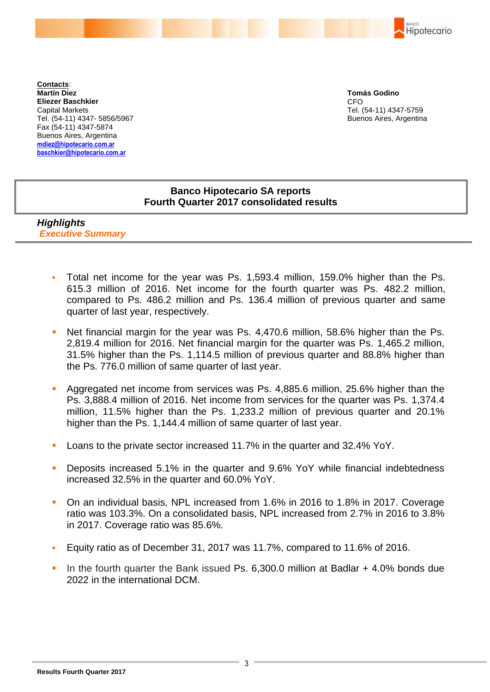**BANCO** Hipotecario

**Contacts**: **Martín Diez Eliezer Baschkier** Capital Markets Tel. (54-11) 4347- 5856/5967 Fax (54-11) 4347-5874 Buenos Aires, Argentina **mdiez@hipotecario.com.ar baschkier@hipotecario.com.ar**

**Tomás Godino** CFO Tel. (54-11) 4347-5759 Buenos Aires, Argentina

## **Banco Hipotecario SA reports Fourth Quarter 2017 consolidated results**

*Highlights Executive Summary*

- Total net income for the year was Ps. 1,593.4 million, 159.0% higher than the Ps. 615.3 million of 2016. Net income for the fourth quarter was Ps. 482.2 million, compared to Ps. 486.2 million and Ps. 136.4 million of previous quarter and same quarter of last year, respectively.
- Net financial margin for the year was Ps. 4,470.6 million, 58.6% higher than the Ps. 2,819.4 million for 2016. Net financial margin for the quarter was Ps. 1,465.2 million, 31.5% higher than the Ps. 1,114.5 million of previous quarter and 88.8% higher than the Ps. 776.0 million of same quarter of last year.
- Aggregated net income from services was Ps. 4,885.6 million, 25.6% higher than the Ps. 3,888.4 million of 2016. Net income from services for the quarter was Ps. 1,374.4 million, 11.5% higher than the Ps. 1,233.2 million of previous quarter and 20.1% higher than the Ps. 1,144.4 million of same quarter of last year.
- Loans to the private sector increased 11.7% in the quarter and 32.4% YoY.
- Deposits increased 5.1% in the quarter and 9.6% YoY while financial indebtedness increased 32.5% in the quarter and 60.0% YoY.
- On an individual basis, NPL increased from 1.6% in 2016 to 1.8% in 2017. Coverage ratio was 103.3%. On a consolidated basis, NPL increased from 2.7% in 2016 to 3.8% in 2017. Coverage ratio was 85.6%.
- Equity ratio as of December 31, 2017 was 11.7%, compared to 11.6% of 2016.
- In the fourth quarter the Bank issued Ps. 6,300.0 million at Badlar + 4.0% bonds due 2022 in the international DCM.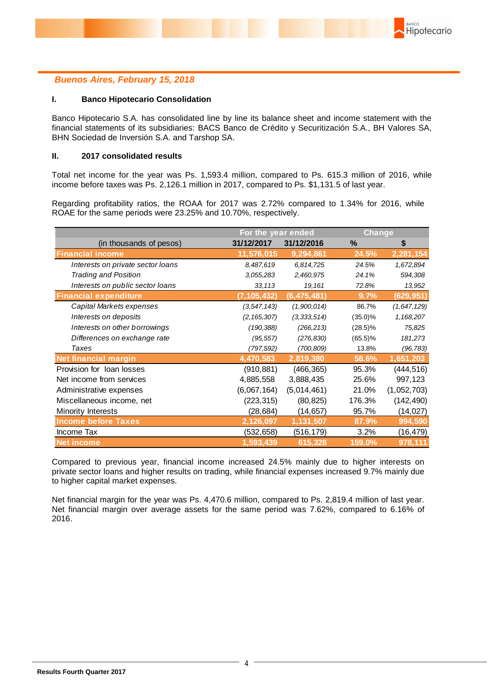## *Buenos Aires, February 15, 2018*

#### **I. Banco Hipotecario Consolidation**

Banco Hipotecario S.A. has consolidated line by line its balance sheet and income statement with the financial statements of its subsidiaries: BACS Banco de Crédito y Securitización S.A., BH Valores SA, BHN Sociedad de Inversión S.A. and Tarshop SA.

#### **II. 2017 consolidated results**

Total net income for the year was Ps. 1,593.4 million, compared to Ps. 615.3 million of 2016, while income before taxes was Ps. 2,126.1 million in 2017, compared to Ps. \$1,131.5 of last year.

Regarding profitability ratios, the ROAA for 2017 was 2.72% compared to 1.34% for 2016, while ROAE for the same periods were 23.25% and 10.70%, respectively.

|                                   | For the year ended |               | <b>Change</b> |             |
|-----------------------------------|--------------------|---------------|---------------|-------------|
| (in thousands of pesos)           | 31/12/2017         | 31/12/2016    | %             | \$          |
| <b>Financial income</b>           | 11,576,015         | 9,294,861     | 24.5%         | 2,281,154   |
| Interests on private sector loans | 8,487,619          | 6,814,725     | 24.5%         | 1,672,894   |
| <b>Trading and Position</b>       | 3,055,283          | 2,460,975     | 24.1%         | 594,308     |
| Interests on public sector loans  | 33,113             | 19,161        | 72.8%         | 13,952      |
| <b>Financial expenditure</b>      | (7, 105, 432)      | (6, 475, 481) | 9.7%          | (629, 951)  |
| Capital Markets expenses          | (3, 547, 143)      | (1,900,014)   | 86.7%         | (1,647,129) |
| Interests on deposits             | (2, 165, 307)      | (3, 333, 514) | $(35.0)\%$    | 1,168,207   |
| Interests on other borrowings     | (190, 388)         | (266, 213)    | $(28.5)\%$    | 75,825      |
| Differences on exchange rate      | (95, 557)          | (276, 830)    | $(65.5)\%$    | 181,273     |
| Taxes                             | (797,592)          | (700, 809)    | 13.8%         | (96, 783)   |
| <b>Net financial margin</b>       | 4,470,583          | 2,819,380     | 58.6%         | 1,651,203   |
| Provision for loan losses         | (910, 881)         | (466, 365)    | 95.3%         | (444, 516)  |
| Net income from services          | 4,885,558          | 3,888,435     | 25.6%         | 997,123     |
| Administrative expenses           | (6,067,164)        | (5,014,461)   | 21.0%         | (1,052,703) |
| Miscellaneous income, net         | (223, 315)         | (80, 825)     | 176.3%        | (142, 490)  |
| Minority Interests                | (28,684)           | (14, 657)     | 95.7%         | (14, 027)   |
| <b>Income before Taxes</b>        | 2,126,097          | 1,131,507     | 87.9%         | 994,590     |
| Income Tax                        | (532, 658)         | (516, 179)    | 3.2%          | (16, 479)   |
| <b>Net income</b>                 | 1,593,439          | 615,328       | 159.0%        | 978,111     |

Compared to previous year, financial income increased 24.5% mainly due to higher interests on private sector loans and higher results on trading, while financial expenses increased 9.7% mainly due to higher capital market expenses.

Net financial margin for the year was Ps. 4,470.6 million, compared to Ps. 2,819.4 million of last year. Net financial margin over average assets for the same period was 7.62%, compared to 6.16% of 2016.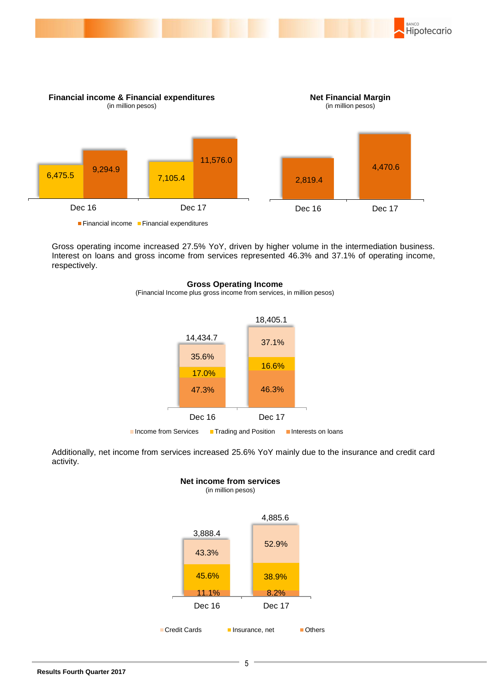

Gross operating income increased 27.5% YoY, driven by higher volume in the intermediation business. Interest on loans and gross income from services represented 46.3% and 37.1% of operating income, respectively.

#### **Gross Operating Income**

(Financial Income plus gross income from services, in million pesos)



Additionally, net income from services increased 25.6% YoY mainly due to the insurance and credit card activity.

**Net income from services**

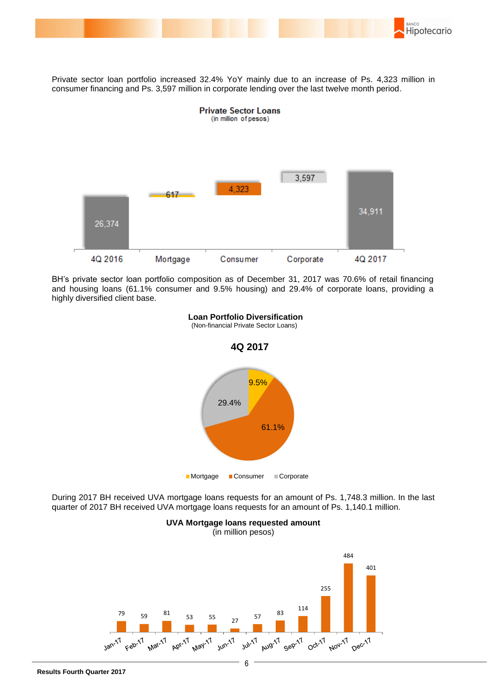

Private sector loan portfolio increased 32.4% YoY mainly due to an increase of Ps. 4,323 million in consumer financing and Ps. 3,597 million in corporate lending over the last twelve month period.



BH's private sector loan portfolio composition as of December 31, 2017 was 70.6% of retail financing and housing loans (61.1% consumer and 9.5% housing) and 29.4% of corporate loans, providing a highly diversified client base.



 **Loan Portfolio Diversification**

(Non-financial Private Sector Loans)

 During 2017 BH received UVA mortgage loans requests for an amount of Ps. 1,748.3 million. In the last quarter of 2017 BH received UVA mortgage loans requests for an amount of Ps. 1,140.1 million.



## **UVA Mortgage loans requested amount**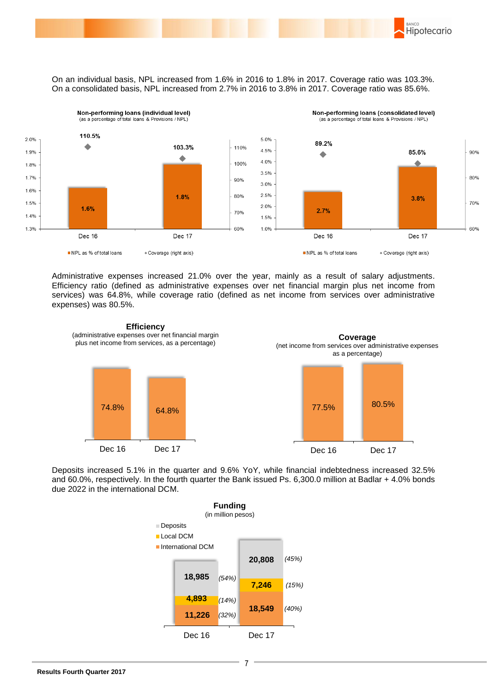BANCO Hipotecario

On an individual basis, NPL increased from 1.6% in 2016 to 1.8% in 2017. Coverage ratio was 103.3%. On a consolidated basis, NPL increased from 2.7% in 2016 to 3.8% in 2017. Coverage ratio was 85.6%.



Administrative expenses increased 21.0% over the year, mainly as a result of salary adjustments. Efficiency ratio (defined as administrative expenses over net financial margin plus net income from services) was 64.8%, while coverage ratio (defined as net income from services over administrative expenses) was 80.5%.



Deposits increased 5.1% in the quarter and 9.6% YoY, while financial indebtedness increased 32.5% and 60.0%, respectively. In the fourth quarter the Bank issued Ps. 6,300.0 million at Badlar + 4.0% bonds due 2022 in the international DCM.

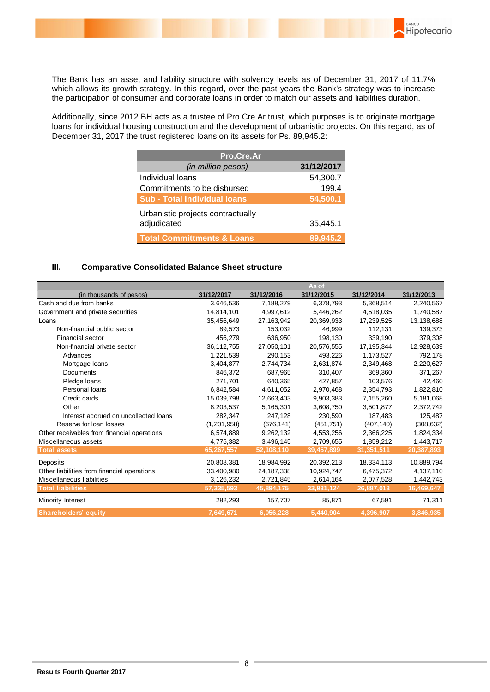

The Bank has an asset and liability structure with solvency levels as of December 31, 2017 of 11.7% which allows its growth strategy. In this regard, over the past years the Bank's strategy was to increase the participation of consumer and corporate loans in order to match our assets and liabilities duration.

Additionally, since 2012 BH acts as a trustee of Pro.Cre.Ar trust, which purposes is to originate mortgage loans for individual housing construction and the development of urbanistic projects. On this regard, as of December 31, 2017 the trust registered loans on its assets for Ps. 89,945.2:

| Pro.Cre.Ar                            |            |  |  |  |  |
|---------------------------------------|------------|--|--|--|--|
| (in million pesos)                    | 31/12/2017 |  |  |  |  |
| Individual loans                      | 54,300.7   |  |  |  |  |
| Commitments to be disbursed           | 199.4      |  |  |  |  |
| <b>Sub - Total Individual loans</b>   | 54,500.1   |  |  |  |  |
| Urbanistic projects contractually     |            |  |  |  |  |
| adjudicated                           | 35,445.1   |  |  |  |  |
| <b>Total Committments &amp; Loans</b> | 89.945.2   |  |  |  |  |

#### **III. Comparative Consolidated Balance Sheet structure**

|                                             |              |              | As of      |              |            |
|---------------------------------------------|--------------|--------------|------------|--------------|------------|
| (in thousands of pesos)                     | 31/12/2017   | 31/12/2016   | 31/12/2015 | 31/12/2014   | 31/12/2013 |
| Cash and due from banks                     | 3,646,536    | 7,188,279    | 6,378,793  | 5,368,514    | 2,240,567  |
| Government and private securities           | 14,814,101   | 4,997,612    | 5,446,262  | 4,518,035    | 1,740,587  |
| Loans                                       | 35,456,649   | 27, 163, 942 | 20,369,933 | 17,239,525   | 13,138,688 |
| Non-financial public sector                 | 89.573       | 153,032      | 46,999     | 112,131      | 139,373    |
| <b>Financial sector</b>                     | 456,279      | 636,950      | 198,130    | 339,190      | 379,308    |
| Non-financial private sector                | 36, 112, 755 | 27,050,101   | 20,576,555 | 17, 195, 344 | 12,928,639 |
| Advances                                    | 1,221,539    | 290,153      | 493,226    | 1,173,527    | 792,178    |
| Mortgage loans                              | 3,404,877    | 2,744,734    | 2,631,874  | 2,349,468    | 2,220,627  |
| Documents                                   | 846,372      | 687,965      | 310,407    | 369,360      | 371,267    |
| Pledge loans                                | 271,701      | 640,365      | 427,857    | 103,576      | 42,460     |
| Personal loans                              | 6,842,584    | 4,611,052    | 2,970,468  | 2,354,793    | 1,822,810  |
| Credit cards                                | 15,039,798   | 12,663,403   | 9,903,383  | 7,155,260    | 5,181,068  |
| Other                                       | 8,203,537    | 5,165,301    | 3,608,750  | 3,501,877    | 2,372,742  |
| Interest accrued on uncollected loans       | 282,347      | 247,128      | 230,590    | 187,483      | 125,487    |
| Reserve for loan losses                     | (1,201,958)  | (676, 141)   | (451, 751) | (407, 140)   | (308, 632) |
| Other receivables from financial operations | 6,574,889    | 9,262,132    | 4,553,256  | 2,366,225    | 1,824,334  |
| Miscellaneous assets                        | 4,775,382    | 3,496,145    | 2,709,655  | 1,859,212    | 1,443,717  |
| <b>Total assets</b>                         | 65,267,557   | 52,108,110   | 39,457,899 | 31,351,511   | 20,387,893 |
| Deposits                                    | 20,808,381   | 18,984,992   | 20,392,213 | 18,334,113   | 10,889,794 |
| Other liabilities from financial operations | 33,400,980   | 24, 187, 338 | 10,924,747 | 6,475,372    | 4,137,110  |
| Miscellaneous liabilities                   | 3,126,232    | 2,721,845    | 2,614,164  | 2,077,528    | 1,442,743  |
| <b>Total liabilities</b>                    | 57,335,593   | 45,894,175   | 33,931,124 | 26,887,013   | 16,469,647 |
| Minority Interest                           | 282,293      | 157,707      | 85,871     | 67,591       | 71,311     |
| Shareholders' equity                        | 7,649,671    | 6,056,228    | 5,440,904  | 4,396,907    | 3,846,935  |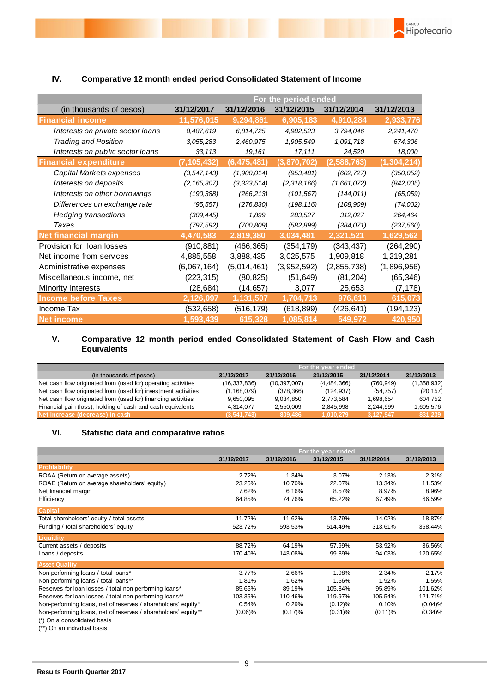

### **IV. Comparative 12 month ended period Consolidated Statement of Income**

BANCO

Hipotecario

#### **V. Comparative 12 month period ended Consolidated Statement of Cash Flow and Cash Equivalents**

|                                                                | For the year ended |                |               |            |             |
|----------------------------------------------------------------|--------------------|----------------|---------------|------------|-------------|
| (in thousands of pesos)                                        | 31/12/2017         | 31/12/2016     | 31/12/2015    | 31/12/2014 | 31/12/2013  |
| Net cash flow originated from (used for) operating activities  | (16, 337, 836)     | (10, 397, 007) | (4, 484, 366) | (760, 949) | (1,358,932) |
| Net cash flow originated from (used for) investment activities | (1, 168, 079)      | (378, 366)     | (124.937)     | (54, 757)  | (20, 157)   |
| Net cash flow originated from (used for) financing activities  | 9.650.095          | 9.034.850      | 2.773.584     | 1.698.654  | 604.752     |
| Financial gain (loss), holding of cash and cash equivalents    | 4.314.077          | 2.550.009      | 2,845,998     | 2.244.999  | 1,605,576   |
| Net increase (decrease) in cash                                | (3,541,743)        | 809,486        | 1.010.279     | 3.127.947  | 831,239     |

#### **VI. Statistic data and comparative ratios**

|                                                                | For the year ended |            |            |            |            |
|----------------------------------------------------------------|--------------------|------------|------------|------------|------------|
|                                                                | 31/12/2017         | 31/12/2016 | 31/12/2015 | 31/12/2014 | 31/12/2013 |
| <b>Profitability</b>                                           |                    |            |            |            |            |
| ROAA (Return on average assets)                                | 2.72%              | 1.34%      | 3.07%      | 2.13%      | 2.31%      |
| ROAE (Return on average shareholders' equity)                  | 23.25%             | 10.70%     | 22.07%     | 13.34%     | 11.53%     |
| Net financial margin                                           | 7.62%              | 6.16%      | 8.57%      | 8.97%      | 8.96%      |
| Efficiency                                                     | 64.85%             | 74.76%     | 65.22%     | 67.49%     | 66.59%     |
| <b>Capital</b>                                                 |                    |            |            |            |            |
| Total shareholders' equity / total assets                      | 11.72%             | 11.62%     | 13.79%     | 14.02%     | 18.87%     |
| Funding / total shareholders' equity                           | 523.72%            | 593.53%    | 514.49%    | 313.61%    | 358.44%    |
| Liquidity                                                      |                    |            |            |            |            |
| Current assets / deposits                                      | 88.72%             | 64.19%     | 57.99%     | 53.92%     | 36.56%     |
| Loans / deposits                                               | 170.40%            | 143.08%    | 99.89%     | 94.03%     | 120.65%    |
| <b>Asset Quality</b>                                           |                    |            |            |            |            |
| Non-performing loans / total loans*                            | 3.77%              | 2.66%      | 1.98%      | 2.34%      | 2.17%      |
| Non-performing loans / total loans**                           | 1.81%              | 1.62%      | 1.56%      | 1.92%      | 1.55%      |
| Reserves for loan losses / total non-performing loans*         | 85.65%             | 89.19%     | 105.84%    | 95.89%     | 101.62%    |
| Reserves for loan losses / total non-performing loans**        | 103.35%            | 110.46%    | 119.97%    | 105.54%    | 121.71%    |
| Non-performing loans, net of reserves / shareholders' equity*  | 0.54%              | 0.29%      | $(0.12)\%$ | 0.10%      | (0.04)%    |
| Non-performing loans, net of reserves / shareholders' equity** | $(0.06)\%$         | (0.17)%    | $(0.31)\%$ | $(0.11)\%$ | $(0.34)\%$ |
| (*) On a consolidated basis                                    |                    |            |            |            |            |

<sup>(\*\*)</sup> On an individual basis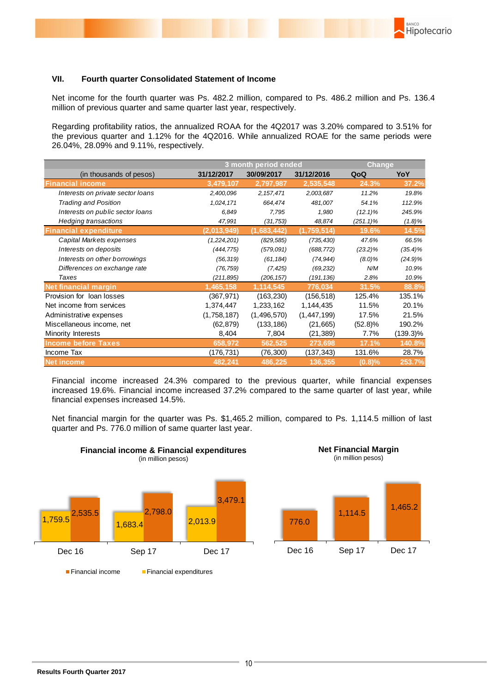### **VII. Fourth quarter Consolidated Statement of Income**

Net income for the fourth quarter was Ps. 482.2 million, compared to Ps. 486.2 million and Ps. 136.4 million of previous quarter and same quarter last year, respectively.

Regarding profitability ratios, the annualized ROAA for the 4Q2017 was 3.20% compared to 3.51% for the previous quarter and 1.12% for the 4Q2016. While annualized ROAE for the same periods were 26.04%, 28.09% and 9.11%, respectively.

|                                   |             | 3 month period ended |               |              | <b>Change</b> |  |
|-----------------------------------|-------------|----------------------|---------------|--------------|---------------|--|
| (in thousands of pesos)           | 31/12/2017  | 30/09/2017           | 31/12/2016    | QoQ          | YoY           |  |
| <b>Financial income</b>           | 3,479,107   | 2,797,987            | 2,535,548     | 24.3%        | 37.2%         |  |
| Interests on private sector loans | 2,400,096   | 2, 157, 471          | 2,003,687     | 11.2%        | 19.8%         |  |
| <b>Trading and Position</b>       | 1,024,171   | 664,474              | 481,007       | 54.1%        | 112.9%        |  |
| Interests on public sector loans  | 6,849       | 7,795                | 1,980         | $(12.1)\%$   | 245.9%        |  |
| Hedging transactions              | 47,991      | (31, 753)            | 48,874        | $(251.1)\%$  | $(1.8)\%$     |  |
| <b>Financial expenditure</b>      | (2,013,949) | (1,683,442)          | (1,759,514)   | 19.6%        | 14.5%         |  |
| Capital Markets expenses          | (1,224,201) | (829, 585)           | (735, 430)    | 47.6%        | 66.5%         |  |
| Interests on deposits             | (444, 775)  | (579,091)            | (688, 772)    | (23.2)%      | $(35.4)\%$    |  |
| Interests on other borrowings     | (56, 319)   | (61, 184)            | (74, 944)     | $(8.0)\%$    | $(24.9)\%$    |  |
| Differences on exchange rate      | (76, 759)   | (7, 425)             | (69, 232)     | N/M          | 10.9%         |  |
| Taxes                             | (211, 895)  | (206, 157)           | (191, 136)    | 2.8%         | 10.9%         |  |
| <b>Net financial margin</b>       | 1,465,158   | 1,114,545            | 776,034       | 31.5%        | 88.8%         |  |
| Provision for loan losses         | (367, 971)  | (163, 230)           | (156, 518)    | 125.4%       | 135.1%        |  |
| Net income from services          | 1,374,447   | 1,233,162            | 1,144,435     | 11.5%        | 20.1%         |  |
| Administrative expenses           | (1,758,187) | (1,496,570)          | (1, 447, 199) | 17.5%        | 21.5%         |  |
| Miscellaneous income, net         | (62, 879)   | (133, 186)           | (21, 665)     | $(52.8)\%$   | 190.2%        |  |
| Minority Interests                | 8,404       | 7,804                | (21, 389)     | 7.7%         | (139.3)%      |  |
| <b>Income before Taxes</b>        | 658,972     | 562,525              | 273,698       | <b>17.1%</b> | 140.8%        |  |
| Income Tax                        | (176,731)   | (76, 300)            | (137, 343)    | 131.6%       | 28.7%         |  |
| <b>Net income</b>                 | 482,241     | 486,225              | 136,355       | (0.8)%       | 253.7%        |  |

Financial income increased 24.3% compared to the previous quarter, while financial expenses increased 19.6%. Financial income increased 37.2% compared to the same quarter of last year, while financial expenses increased 14.5%.

Net financial margin for the quarter was Ps. \$1,465.2 million, compared to Ps. 1,114.5 million of last quarter and Ps. 776.0 million of same quarter last year.





Dec 16 Sep 17 Dec 17

**BANCO** 

Hipotecario